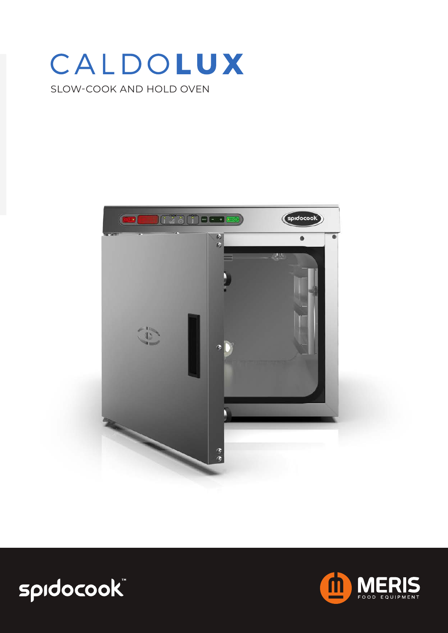## CALDOLUX SLOW-COOK AND HOLD OVEN



# spidocook

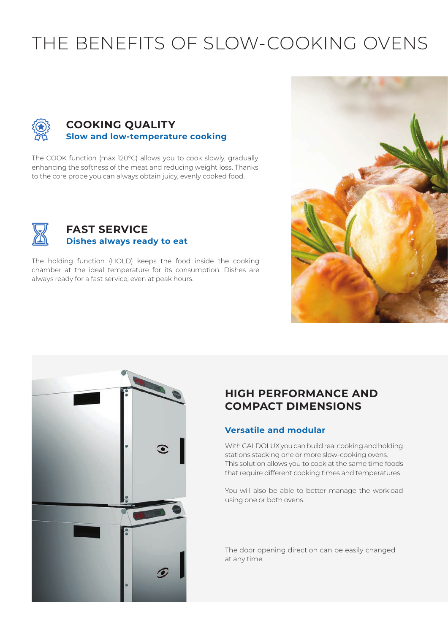## THE BENEFITS OF SLOW-COOKING OVENS



#### **COOKING QUALITY Slow and low-temperature cooking**

The COOK function (max 120°C) allows you to cook slowly, gradually enhancing the softness of the meat and reducing weight loss. Thanks to the core probe you can always obtain juicy, evenly cooked food.



#### **FAST SERVICE Dishes always ready to eat**

The holding function (HOLD) keeps the food inside the cooking chamber at the ideal temperature for its consumption. Dishes are always ready for a fast service, even at peak hours.





### **HIGH PERFORMANCE AND COMPACT DIMENSIONS**

#### **Versatile and modular**

With CALDOLUX you can build real cooking and holding stations stacking one or more slow-cooking ovens. This solution allows you to cook at the same time foods that require different cooking times and temperatures.

You will also be able to better manage the workload using one or both ovens.

The door opening direction can be easily changed at any time.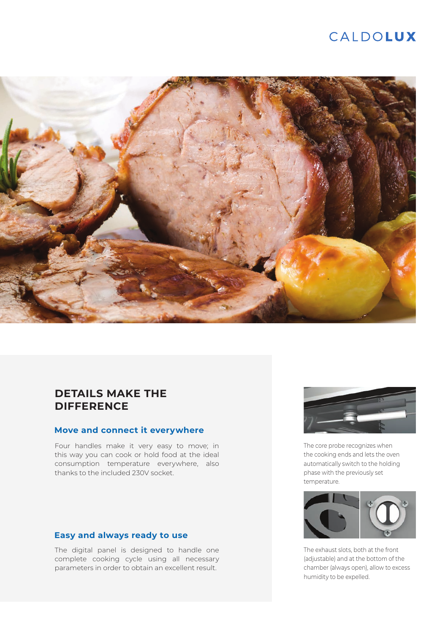## CALDOLUX



#### **DETAILS MAKE THE DIFFERENCE**

#### **Move and connect it everywhere**

Four handles make it very easy to move; in this way you can cook or hold food at the ideal consumption temperature everywhere, also thanks to the included 230V socket.

#### **Easy and always ready to use**

The digital panel is designed to handle one complete cooking cycle using all necessary parameters in order to obtain an excellent result.



The core probe recognizes when the cooking ends and lets the oven automatically switch to the holding phase with the previously set temperature.



The exhaust slots, both at the front (adjustable) and at the bottom of the chamber (always open), allow to excess humidity to be expelled.